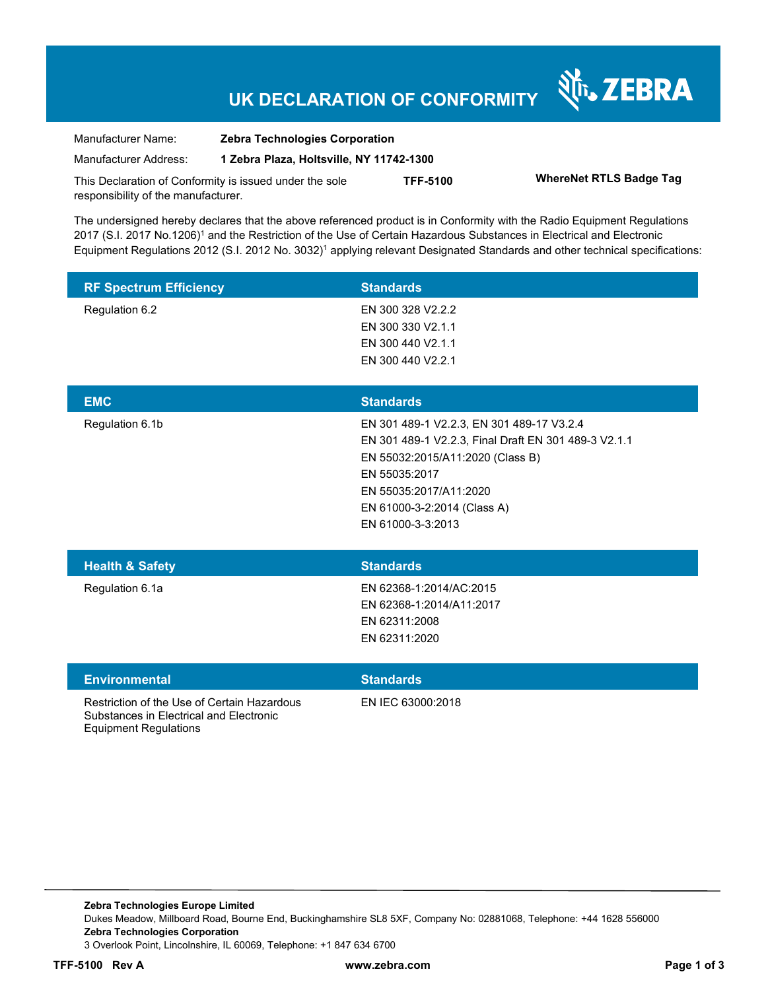# **UK DECLARATION OF CONFORMITY**

Nr. ZEBRA

| Manufacturer Name:                                      | <b>Zebra Technologies Corporation</b>    |                 |                                |
|---------------------------------------------------------|------------------------------------------|-----------------|--------------------------------|
| Manufacturer Address:                                   | 1 Zebra Plaza, Holtsville, NY 11742-1300 |                 |                                |
| This Declaration of Conformity is issued under the sole |                                          | <b>TFF-5100</b> | <b>WhereNet RTLS Badge Tag</b> |
| responsibility of the manufacturer.                     |                                          |                 |                                |

The undersigned hereby declares that the above referenced product is in Conformity with the Radio Equipment Regulations 2017 (S.I. 2017 No.1206)<sup>1</sup> and the Restriction of the Use of Certain Hazardous Substances in Electrical and Electronic Equipment Regulations 2012 (S.I. 2012 No. 3032)<sup>1</sup> applying relevant Designated Standards and other technical specifications:

| <b>RF Spectrum Efficiency</b>                                                                                          | <b>Standards</b>                                                                                                                                                                                                                     |  |
|------------------------------------------------------------------------------------------------------------------------|--------------------------------------------------------------------------------------------------------------------------------------------------------------------------------------------------------------------------------------|--|
| Regulation 6.2                                                                                                         | EN 300 328 V2.2.2<br>EN 300 330 V2.1.1<br>EN 300 440 V2.1.1<br>EN 300 440 V2.2.1                                                                                                                                                     |  |
| <b>EMC</b>                                                                                                             | <b>Standards</b>                                                                                                                                                                                                                     |  |
| Regulation 6.1b                                                                                                        | EN 301 489-1 V2.2.3, EN 301 489-17 V3.2.4<br>EN 301 489-1 V2.2.3, Final Draft EN 301 489-3 V2.1.1<br>EN 55032:2015/A11:2020 (Class B)<br>EN 55035:2017<br>EN 55035:2017/A11:2020<br>EN 61000-3-2:2014 (Class A)<br>EN 61000-3-3:2013 |  |
| <b>Health &amp; Safety</b>                                                                                             | <b>Standards</b>                                                                                                                                                                                                                     |  |
| Regulation 6.1a                                                                                                        | EN 62368-1:2014/AC:2015<br>EN 62368-1:2014/A11:2017<br>EN 62311:2008<br>EN 62311:2020                                                                                                                                                |  |
| <b>Environmental</b>                                                                                                   | <b>Standards</b>                                                                                                                                                                                                                     |  |
| Restriction of the Use of Certain Hazardous<br>Substances in Electrical and Electronic<br><b>Equipment Regulations</b> | EN IEC 63000:2018                                                                                                                                                                                                                    |  |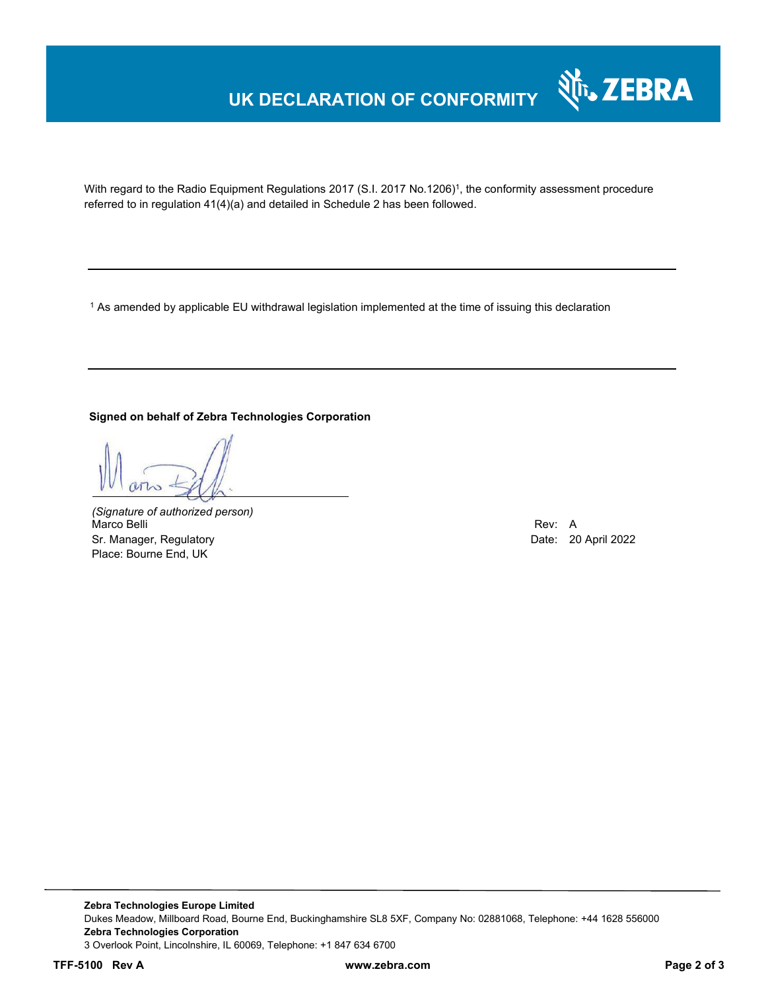## **UK DECLARATION OF CONFORMITY**



With regard to the Radio Equipment Regulations 2017 (S.I. 2017 No.1206)<sup>1</sup>, the conformity assessment procedure referred to in regulation 41(4)(a) and detailed in Schedule 2 has been followed.

 $^{\rm 1}$  As amended by applicable EU withdrawal legislation implemented at the time of issuing this declaration

#### **Signed on behalf of Zebra Technologies Corporation**

*(Signature of authorized person)* Marco Belli Rev: A Sr. Manager, Regulatory **Date: 20 April 2022** Place: Bourne End, UK